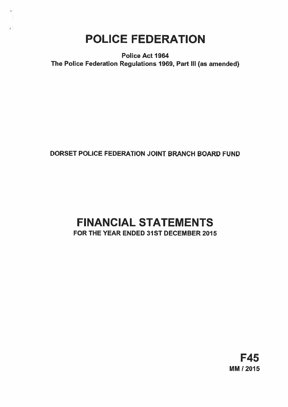## POLICE FEDERATION

Police Act 1964 The Police Federation Regulations 1969, Part Ill (as amended)

## DORSET POLICE FEDERATION JOINT BRANCH BOARD FUND

# FINANCIAL STATEMENTS

FOR THE YEAR ENDED 31ST DECEMBER 2015

F45 MM / 2015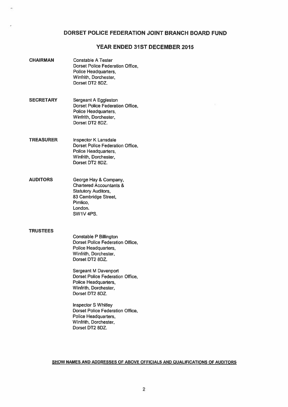## DORSET POLICE FEDERATION JOINT BRANCH BOARD FUND

## YEAR ENDED 31ST DECEMBER 2015

CHAIRMAN Constable A Tester Dorset Police Federation Office, Police Headquarters, Winfrith, Dorchester, Dorset DT2 8DZ. SECRETARY Sergeant A Eggleston Dorset Police Federation Office, Police Headquarters, Winfrith, Dorchester, Dorset DT2 8DZ, TREASURER Inspector K Lansdale Dorset Police Federation Office, Police Headquarters, Winfrith, Dorchester, Dorset DT2 8DZ. AUDITORS George Hay & Company, Chartered Accountants & Statutory Auditors, 83 Cambridge Street, Pimlico, London. SW1V 4PS. **TRUSTEES** Constable P Billington Dorset Police Federation Office, Police Headquarters, Winfrith, Dorchester, Dorset DT2 8DZ. Sergeant M Davenport Dorset Police Federation Office, Police Headquarters, Winfrith, Dorchester, Dorset DT2 8DZ.

> Inspector S Whitley Dorset Police Federation Office, Police Headquarters, Winfrith, Dorchester, Dorset DT2 BDZ.

SHOW NAMES AND ADDRESSES OF ABOVE OFFICIALS AND QUALIFICATIONS OF AUDITORS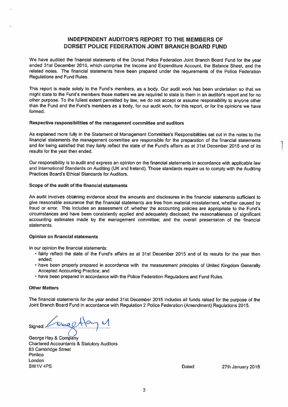## INDEPENDENT AUDITOR'S REPORT TO THE MEMBERS OF DORSET POLICE FEDERATION JOINT BRANCH BOARD FUND

We have audited the financial statements of the Dorset Police Federation Joint Branch Board Fund for the year ended 31st December 2015, which comprise the Income and Expenditure Account, the Balance Sheet, and the related notes. The financial statements have been prepared under the requirements of the Police Federation Regulations and Fund Rules,

This report is made solely to the Fund's members, as a body. Our audit work has been undertaken so that we might state to the Fund's members those matters we are required to state to them in an auditor's repor<sup>t</sup> and for no other purpose. To the fullest extent permitted by law, we do not accep<sup>t</sup> or assume responsibility to anyone other than the Fund and the Fund's members as <sup>a</sup> body, for our audit work, for this report, or for the opinions we have formed.

## Respective responsibilities of the managemen<sup>t</sup> committee and auditors

As explained more fully in the Statement of Management Committee's Responsibilities set out in the notes to the financial statements the managemen<sup>t</sup> committee are responsible for the preparation of the financial statements and for being satisfied that they fairly reflect the state of the Fund's affairs as at 31st December 2015 and of its results for the year then ended,

Our responsibility is to audit and express an opinion on lhe financial statements in accordance with applicable law and International Standards on Auditing (UK and Ireland). Those standards require us to comply with the Auditing Practices Board's Ethical Standards for Auditors.

## Scope of the audit of the financial statements

An audit involves obtaining evidence about the amounts and disclosures in the financial statements sufficient to <sup>g</sup>ive reasonable assurance that the financial statements are free from material misstatement, whether caused by fraud or error. This includes an assessment of: whether the accounting policies are appropriate to the Fund's circumstances and have been consistently applied and adequately disclosed; the reasonableness of significant accounting estimates made by the managemen<sup>t</sup> committee; and the overall presentation of the financial statements.

## Opinion on financial statements

In our opinion the financial statements:

- fairly reflect the state of the Fund's affairs as at 31st December <sup>2015</sup> and of its results for the year then ended;
- have been properly prepare<sup>d</sup> in accordance with the measurement principles of United Kingdom Generally Accepted Accounting Practice; and
- have been prepared in accordance with the Police Federation Regulations and Fund Rules.

## Other Matters

The financial statements for the year ended 31st December <sup>2015</sup> includes all funds raised for the purpose of the Joint Branch Board Fund in accordance with Regulation <sup>2</sup> Police Federation (Amendment) Regulations 2015.

Signed: CoalHa

George Hay & Company Chartered Accountants & Statutory Auditors 83 Cambridge Street Pimlico London SW1V 4PS **Dated:** 27th January 2016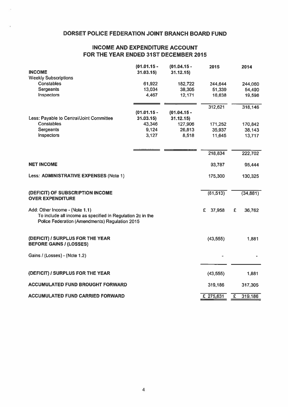## DORSET POLICE FEDERATION JOINT BRANCH BOARD FUND

## INCOME AND EXPENDITURE ACCOUNT FOR THE YEAR ENDED 31ST DECEMBER 2015

| <b>INCOME</b>                                                                                                                                  | $(01.01.15 -$<br>31.03.15 | $(01.04.15 -$<br>31.12.15) | 2015         |   | 2014     |
|------------------------------------------------------------------------------------------------------------------------------------------------|---------------------------|----------------------------|--------------|---|----------|
| <b>Weekly Subscriptions</b>                                                                                                                    |                           |                            |              |   |          |
| <b>Constables</b>                                                                                                                              | 61,922                    | 182,722                    | 244,644      |   | 244,060  |
| <b>Sergeants</b>                                                                                                                               | 13,034                    | 38,305                     | 51,339       |   | 54,490   |
| Inspectors                                                                                                                                     | 4,467                     | 12,171                     | 16,638       |   | 19,596   |
|                                                                                                                                                |                           |                            |              |   |          |
|                                                                                                                                                |                           |                            | 312,621      |   | 318,146  |
|                                                                                                                                                | $(01.01.15 -$             | $(01.04.15 -$              |              |   |          |
| Less: Payable to Central/Joint Committee                                                                                                       | 31.03.15                  | 31.12.15                   |              |   |          |
| <b>Constables</b>                                                                                                                              | 43,346                    | 127,906                    | 171,252      |   | 170,842  |
| Sergeants                                                                                                                                      | 9,124                     | 26,813                     | 35,937       |   | 38,143   |
| Inspectors                                                                                                                                     | 3,127                     | 8,518                      | 11,645       |   | 13,717   |
|                                                                                                                                                |                           |                            |              |   |          |
|                                                                                                                                                |                           |                            | 218,834      |   | 222,702  |
| <b>NET INCOME</b>                                                                                                                              |                           |                            | 93,787       |   | 95,444   |
| Less: ADMINISTRATIVE EXPENSES (Note 1)                                                                                                         |                           |                            | 175,300      |   | 130,325  |
| (DEFICIT) OF SUBSCRIPTION INCOME                                                                                                               |                           |                            | (81, 513)    |   | (34,881) |
| <b>OVER EXPENDITURE</b>                                                                                                                        |                           |                            |              |   |          |
| Add: Other Income - (Note 1.1)<br>To include all income as specified in Regulation 2c in the<br>Police Federation (Amendments) Regulation 2015 |                           |                            | £.<br>37,958 | £ | 36,762   |
| (DEFICIT) / SURPLUS FOR THE YEAR<br><b>BEFORE GAINS / (LOSSES)</b>                                                                             |                           |                            | (43, 555)    |   | 1,881    |
| Gains / (Losses) - (Note 1.2)                                                                                                                  |                           |                            |              |   |          |
| (DEFICIT) / SURPLUS FOR THE YEAR                                                                                                               |                           |                            | (43, 555)    |   | 1,881    |
| <b>ACCUMULATED FUND BROUGHT FORWARD</b>                                                                                                        |                           |                            | 319,186      |   | 317,305  |
|                                                                                                                                                |                           |                            |              |   |          |
| <b>ACCUMULATED FUND CARRIED FORWARD</b>                                                                                                        |                           |                            | £ 275,631    | £ | 319,186  |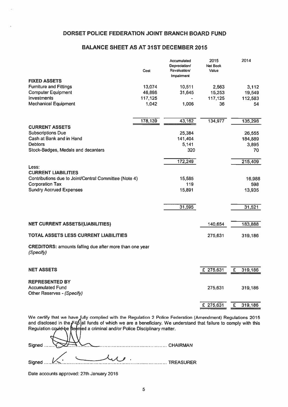## DORSET POLICE FEDERATION JOINT BRANCH BOARD FUND

## BALANCE SHEET AS AT 31ST DECEMBER 2015

| Cost                                                  | Accumulated<br>Depreciation/<br>Revaluation/<br>Impairment                                                        | 2015<br><b>Net Book</b><br>Value                                                      | 2014                                            |
|-------------------------------------------------------|-------------------------------------------------------------------------------------------------------------------|---------------------------------------------------------------------------------------|-------------------------------------------------|
|                                                       |                                                                                                                   |                                                                                       |                                                 |
|                                                       |                                                                                                                   | 2,563                                                                                 | 3,112                                           |
|                                                       |                                                                                                                   |                                                                                       | 19,549                                          |
|                                                       |                                                                                                                   |                                                                                       | 112,583                                         |
|                                                       |                                                                                                                   |                                                                                       | 54                                              |
|                                                       |                                                                                                                   |                                                                                       | 135,298                                         |
|                                                       |                                                                                                                   |                                                                                       |                                                 |
|                                                       |                                                                                                                   |                                                                                       | 26,555                                          |
|                                                       |                                                                                                                   |                                                                                       | 184,889                                         |
|                                                       |                                                                                                                   |                                                                                       | 3,895                                           |
|                                                       | 320                                                                                                               |                                                                                       | 70                                              |
|                                                       | 172,249                                                                                                           |                                                                                       | 215,409                                         |
|                                                       |                                                                                                                   |                                                                                       |                                                 |
| Contributions due to Joint/Central Committee (Note 4) | 15,585                                                                                                            |                                                                                       | 16,988                                          |
|                                                       | 119                                                                                                               |                                                                                       | 598                                             |
|                                                       |                                                                                                                   |                                                                                       | 13,935                                          |
|                                                       |                                                                                                                   |                                                                                       |                                                 |
|                                                       |                                                                                                                   |                                                                                       | 31,521                                          |
|                                                       |                                                                                                                   | 140,654                                                                               | 183,888                                         |
|                                                       |                                                                                                                   | 275,631                                                                               | 319,186                                         |
|                                                       |                                                                                                                   |                                                                                       |                                                 |
|                                                       |                                                                                                                   |                                                                                       |                                                 |
|                                                       |                                                                                                                   |                                                                                       | £<br>319,186                                    |
|                                                       |                                                                                                                   |                                                                                       |                                                 |
|                                                       |                                                                                                                   |                                                                                       |                                                 |
|                                                       |                                                                                                                   | 275,631                                                                               | 319,186                                         |
|                                                       |                                                                                                                   |                                                                                       |                                                 |
|                                                       |                                                                                                                   | £ 275,631                                                                             | £<br>319,186                                    |
|                                                       | 13,074<br>46,898<br>117,125<br>1,042<br>178,139<br><b>CREDITORS: amounts falling due after more than one year</b> | 10,511<br>31,645<br>1,006<br>43,162<br>25,384<br>141,404<br>5,141<br>15,891<br>31,595 | 15,253<br>117,125<br>36<br>134,977<br>£ 275,631 |

We certify that we have [ully complied with the Regulation 2 Police Federation (Amendment) Regulations 2015 and disclosed in the F46 all funds of which we are a beneficiary. We understand that failure to comply with this Regulation cou<del>ld b</del>e **tieem**ed a criminal and/or Police Disciplinary matter.

| Signed               |  | $\rightarrow$ CHAIRMAN |           |
|----------------------|--|------------------------|-----------|
| Signed $\mathcal{L}$ |  |                        | TREASURER |

Date accounts approved: 27th January 2016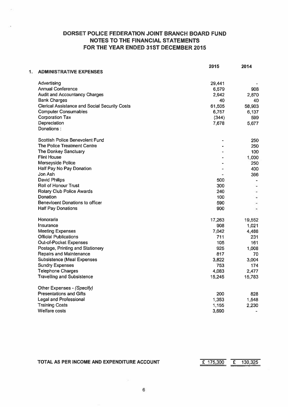|    |                                                      | 2015           | 2014   |
|----|------------------------------------------------------|----------------|--------|
| 1. | <b>ADMINISTRATIVE EXPENSES</b>                       |                |        |
|    | Advertising                                          | 29,441         |        |
|    | <b>Annual Conference</b>                             | 6,579          | 908    |
|    | <b>Audit and Accountancy Charges</b>                 | 2,942          | 2,870  |
|    | <b>Bank Charges</b>                                  | 40             | 40     |
|    | <b>Clerical Assistance and Social Security Costs</b> | 61,505         | 58,903 |
|    | <b>Computer Consumables</b>                          | 6,757          | 6,137  |
|    | <b>Corporation Tax</b>                               | (344)          | 599    |
|    | Depreciation                                         | 7,678          | 5,677  |
|    | Donations:                                           |                |        |
|    | Scottish Police Benevolent Fund                      |                | 250    |
|    | The Police Treatment Centre                          |                | 250    |
|    | <b>The Donkey Sanctuary</b>                          |                | 100    |
|    | <b>Flint House</b>                                   |                | 1,000  |
|    | <b>Merseyside Police</b>                             |                | 250    |
|    | Half Pay No Pay Donation                             | $\blacksquare$ | 400    |
|    | Jon Ash                                              |                | 366    |
|    | <b>David Philips</b>                                 | 500            |        |
|    | <b>Roll of Honour Trust</b>                          | 300            |        |
|    | Rotary Club Police Awards                            | 240            |        |
|    | <b>Donation</b>                                      | 100            |        |
|    | <b>Benevloent Donations to officer</b>               | 590            |        |
|    | <b>Half Pay Donations</b>                            | 900            | ٠      |
|    | Honoraria                                            | 17,263         | 19,552 |
|    | Insurance                                            | 908            | 1,021  |
|    | <b>Meeting Expenses</b>                              | 7.042          | 4,488  |
|    | <b>Official Publications</b>                         | 711            | 231    |
|    | <b>Out-of-Pocket Expenses</b>                        | 105            | 161    |
|    | Postage, Printing and Stationery                     | 925            | 1,008  |
|    | <b>Repairs and Maintenance</b>                       | 817            | 70     |
|    | <b>Subsistence (Meal Expenses</b>                    | 3,822          | 3,004  |
|    | <b>Sundry Expenses</b>                               | 753            | 174    |
|    | <b>Telephone Charges</b>                             | 4.083          | 2,477  |
|    | <b>Travelling and Subsistence</b>                    | 15,245         | 15,783 |
|    | Other Expenses - (Specify)                           |                |        |
|    | <b>Presentations and Gifts</b>                       | 200            | 828    |
|    | <b>Legal and Professional</b>                        | 1,353          | 1,548  |
|    | <b>Training Costs</b>                                | 1,155          | 2,230  |
|    | <b>Welfare costs</b>                                 | 3.690          |        |

TOTAL AS PER INCOME AND EXPENDITURE ACCOUNT  $\overline{E}$  175,300  $\overline{E}$  130,325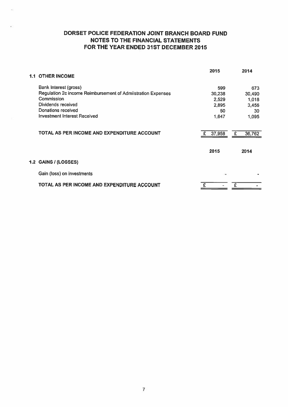| 1.1 | <b>OTHER INCOME</b>                                          | 2015   | 2014        |
|-----|--------------------------------------------------------------|--------|-------------|
|     | Bank Interest (gross)                                        | 599    | 673         |
|     | Regulation 2c income Reimbursement of Admiistration Expenses | 30,238 | 30,490      |
|     | Commission                                                   | 2,529  | 1,018       |
|     | Dividends received                                           | 2,895  | 3,456       |
|     | Donations received                                           | 50     | 30          |
|     | <b>Investment Interest Received</b>                          | 1,647  | 1,095       |
|     | TOTAL AS PER INCOME AND EXPENDITURE ACCOUNT                  | 37,958 | £<br>36,762 |
|     |                                                              | 2015   | 2014        |
|     | 1.2 GAINS / (LOSSES)                                         |        |             |
|     | Gain (loss) on investments                                   |        |             |
|     | TOTAL AS PER INCOME AND EXPENDITURE ACCOUNT                  |        | £           |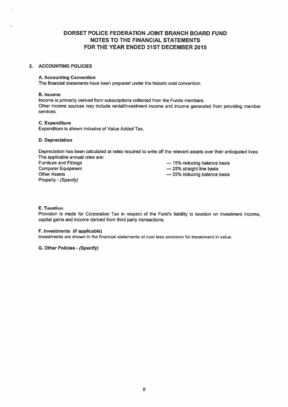## 2. ACCOUNTING POLICIES

## A. Accounting Convention

The financial statements have been prepared under the historic cost convention.

#### B. Income

Income is primarily derived from subscriptions collected from the Funds members. Other income sources may include rental/investment income and income generated from providing member services.

## C. Expenditure

Expenditure is shown inclusive of Value Added Tax.

## D. Depreciation

Depreciation has been calculated at rates required to write off the relevant assets over their anticipated lives. The applicable annual rates are:

Property - (Specify)

Furniture and Fittings — 15% reducing balance basis

- Computer Equipment **Example 25%** straight line basis
- Other Assets **25% reducing balance basis**

## E. Taxation

Provision is made for Corporation Tax in respect of the Fund's liability to taxation on investment income, capital gains and income derived from third party transactions.

## F. Investments (if applicable)

Investments are shown in the financial statements at cost less provision for impairment in value.

G. Other Policies - (Specify)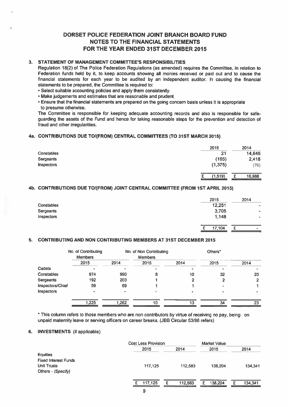## 3. STATEMENT OF MANAGEMENT COMMITTEE'S RESPONSIBILITIES

Regulation 18(2) of The Police Federation Regulations (as amended) requires the Committee, in relation to Federation funds held by it, to keep accounts showing all monies received or paid out and to cause the financial statements for each year to be audited by an independent auditor. In causing the financial statements to be prepared, the Committee is required to:

- Select suitable accounting policies and apply them consistently.
- Make judgements and estimates that are reasonable and prudent.
- Ensure that the financial statements are prepared on the going concern basis unless it is appropriate to presume otherwise.

The Committee is responsible for keeping adequate accounting records and also is responsible for safe guarding the assets of the Fund and hence for taking reasonable steps for the prevention and detection of fraud and other irregularities.

## 4a. CONTRIBUTIONS DUE TO1(FROM) CENTRAL COMMITTEES (TO 31ST MARCH 2015)

|            | 2015     | 2014        |
|------------|----------|-------------|
| Constables | 21       | 14,646      |
| Sergeants  | (165)    | 2,418       |
| Inspectors | (1, 375) | (76)        |
|            |          |             |
|            | (1,519)  | 16,988<br>£ |

## 4b. CONTRIBUTIONS DUE TOI(FROM) JOINT CENTRAL COMMITTEE (FROM 1ST APRIL 2015)

|                   | 2015   | 2014           |
|-------------------|--------|----------------|
| <b>Constables</b> | 12,251 | ۰              |
| Sergeants         | 3,705  | $\blacksquare$ |
| Inspectors        | 1,148  | ٠              |
|                   |        |                |
|                   | 17,104 | c<br>$\sim$    |
|                   |        |                |

## 5. CONTRIBUTING AND NON CONTRIBUTING MEMBERS AT 31ST DECEMBER 2015

|                   | No. of Contributing<br><b>Members</b> |       | No. of Non Contributing<br><b>Members</b> |      | Others <sup>*</sup> |      |
|-------------------|---------------------------------------|-------|-------------------------------------------|------|---------------------|------|
|                   | 2015                                  | 2014  | 2015                                      | 2014 | 2015                | 2014 |
| Cadets            |                                       |       |                                           |      |                     |      |
| <b>Constables</b> | 974                                   | 990   |                                           | 10   | 32                  | 20   |
| Sergeants         | 192                                   | 203   |                                           |      |                     |      |
| Inspectors/Chief  | 59                                    | 69    |                                           |      |                     |      |
| Inspectors        | $\bullet$                             |       |                                           |      |                     |      |
|                   | 1,225                                 | 1,262 | 10                                        | 13   | 34                  | 23   |

\* This column refers to those members who are non contributors by virtue of receiving no pay, being on unpaid maternity leave or serving officers on career breaks. (JBB Circular 53/96 refers)

## 6. INVESTMENTS (if applicable)

|                             | <b>Cost Less Provision</b> |         | <b>Market Value</b> |         |
|-----------------------------|----------------------------|---------|---------------------|---------|
|                             | 2015                       | 2014    | 2015                | 2014    |
| <b>Equities</b>             |                            |         |                     |         |
| <b>Fixed Interest Funds</b> |                            |         |                     |         |
| <b>Unit Trusts</b>          | 117,125                    | 112,583 | 138,204             | 134,341 |
| Others - (Specify)          |                            |         |                     |         |
|                             |                            |         |                     |         |
|                             | 117,125                    | 112,583 | 138,204             | 134,341 |